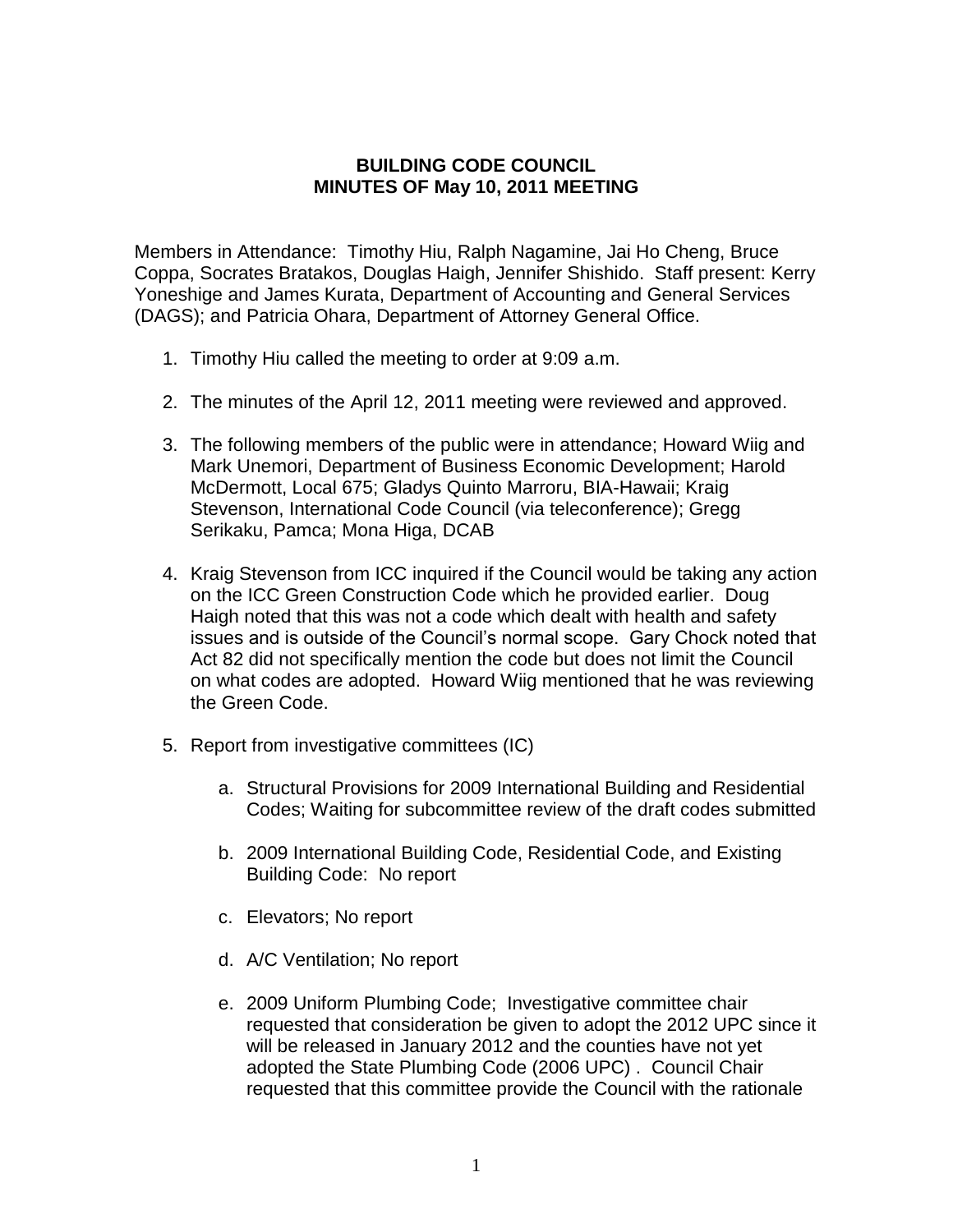## **BUILDING CODE COUNCIL MINUTES OF May 10, 2011 MEETING**

Members in Attendance: Timothy Hiu, Ralph Nagamine, Jai Ho Cheng, Bruce Coppa, Socrates Bratakos, Douglas Haigh, Jennifer Shishido. Staff present: Kerry Yoneshige and James Kurata, Department of Accounting and General Services (DAGS); and Patricia Ohara, Department of Attorney General Office.

- 1. Timothy Hiu called the meeting to order at 9:09 a.m.
- 2. The minutes of the April 12, 2011 meeting were reviewed and approved.
- 3. The following members of the public were in attendance; Howard Wiig and Mark Unemori, Department of Business Economic Development; Harold McDermott, Local 675; Gladys Quinto Marroru, BIA-Hawaii; Kraig Stevenson, International Code Council (via teleconference); Gregg Serikaku, Pamca; Mona Higa, DCAB
- 4. Kraig Stevenson from ICC inquired if the Council would be taking any action on the ICC Green Construction Code which he provided earlier. Doug Haigh noted that this was not a code which dealt with health and safety issues and is outside of the Council's normal scope. Gary Chock noted that Act 82 did not specifically mention the code but does not limit the Council on what codes are adopted. Howard Wiig mentioned that he was reviewing the Green Code.
- 5. Report from investigative committees (IC)
	- a. Structural Provisions for 2009 International Building and Residential Codes; Waiting for subcommittee review of the draft codes submitted
	- b. 2009 International Building Code, Residential Code, and Existing Building Code: No report
	- c. Elevators; No report
	- d. A/C Ventilation; No report
	- e. 2009 Uniform Plumbing Code; Investigative committee chair requested that consideration be given to adopt the 2012 UPC since it will be released in January 2012 and the counties have not yet adopted the State Plumbing Code (2006 UPC) . Council Chair requested that this committee provide the Council with the rationale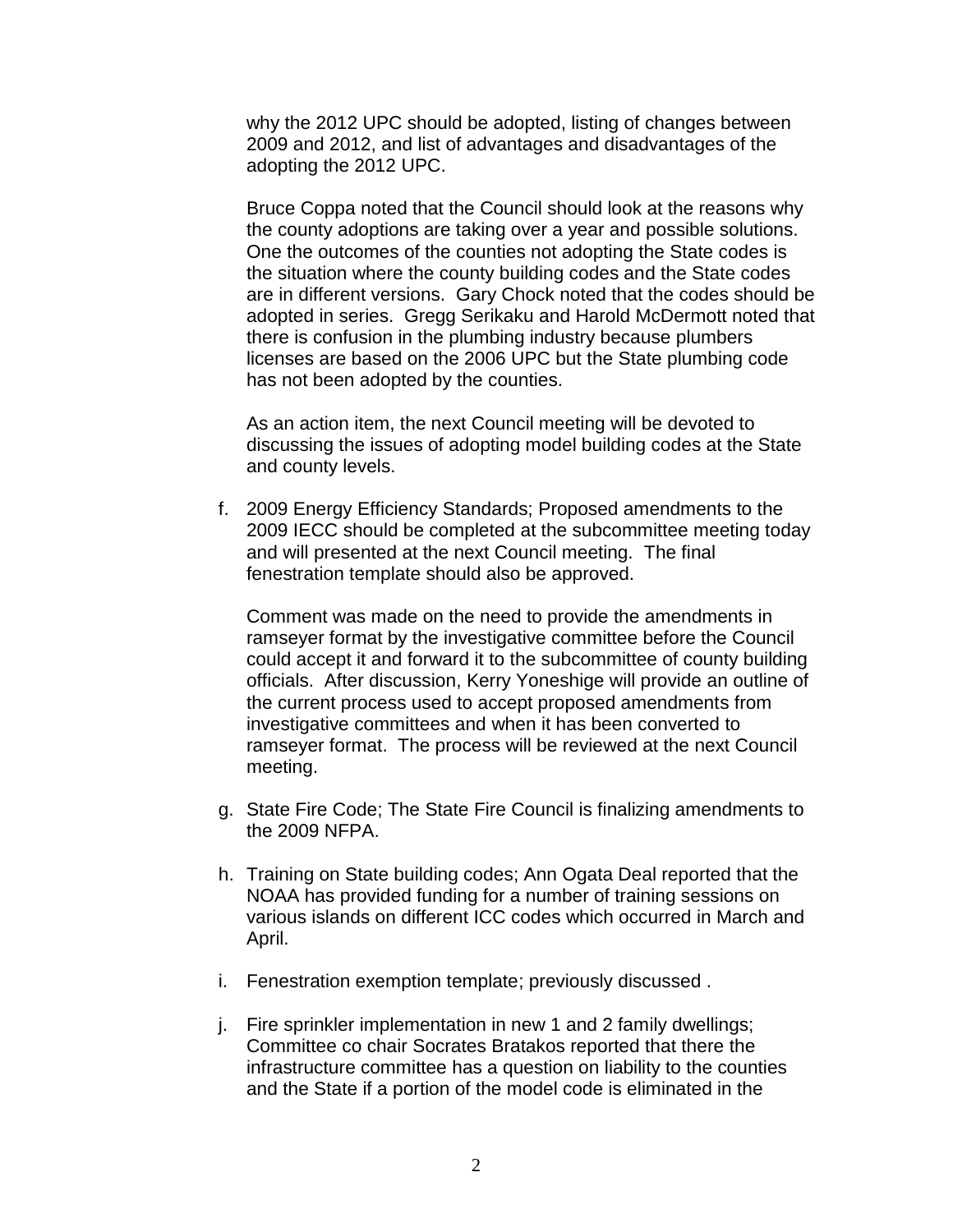why the 2012 UPC should be adopted, listing of changes between 2009 and 2012, and list of advantages and disadvantages of the adopting the 2012 UPC.

Bruce Coppa noted that the Council should look at the reasons why the county adoptions are taking over a year and possible solutions. One the outcomes of the counties not adopting the State codes is the situation where the county building codes and the State codes are in different versions. Gary Chock noted that the codes should be adopted in series. Gregg Serikaku and Harold McDermott noted that there is confusion in the plumbing industry because plumbers licenses are based on the 2006 UPC but the State plumbing code has not been adopted by the counties.

As an action item, the next Council meeting will be devoted to discussing the issues of adopting model building codes at the State and county levels.

f. 2009 Energy Efficiency Standards; Proposed amendments to the 2009 IECC should be completed at the subcommittee meeting today and will presented at the next Council meeting. The final fenestration template should also be approved.

Comment was made on the need to provide the amendments in ramseyer format by the investigative committee before the Council could accept it and forward it to the subcommittee of county building officials. After discussion, Kerry Yoneshige will provide an outline of the current process used to accept proposed amendments from investigative committees and when it has been converted to ramseyer format. The process will be reviewed at the next Council meeting.

- g. State Fire Code; The State Fire Council is finalizing amendments to the 2009 NFPA.
- h. Training on State building codes; Ann Ogata Deal reported that the NOAA has provided funding for a number of training sessions on various islands on different ICC codes which occurred in March and April.
- i. Fenestration exemption template; previously discussed .
- j. Fire sprinkler implementation in new 1 and 2 family dwellings; Committee co chair Socrates Bratakos reported that there the infrastructure committee has a question on liability to the counties and the State if a portion of the model code is eliminated in the